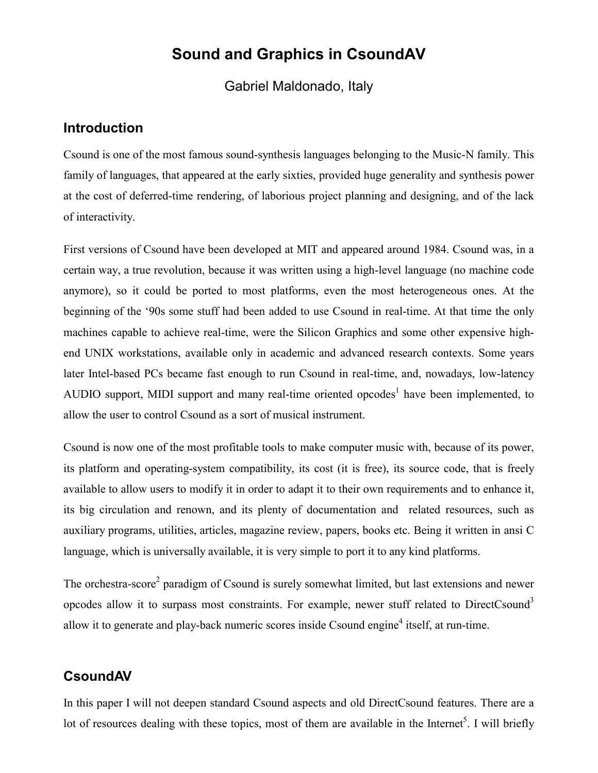# **Sound and Graphics in CsoundAV**

Gabriel Maldonado, Italy

### **Introduction**

Csound is one of the most famous sound-synthesis languages belonging to the Music-N family. This family of languages, that appeared at the early sixties, provided huge generality and synthesis power at the cost of deferred-time rendering, of laborious project planning and designing, and of the lack of interactivity.

First versions of Csound have been developed at MIT and appeared around 1984. Csound was, in a certain way, a true revolution, because it was written using a high-level language (no machine code anymore), so it could be ported to most platforms, even the most heterogeneous ones. At the beginning of the '90s some stuff had been added to use Csound in real-time. At that time the only machines capable to achieve real-time, were the Silicon Graphics and some other expensive highend UNIX workstations, available only in academic and advanced research contexts. Some years later Intel-based PCs became fast enough to run Csound in real-time, and, nowadays, low-latency AUDIO support, MIDI support and many real-time oriented opcodes<sup>1</sup> have been implemented, to allow the user to control Csound as a sort of musical instrument.

Csound is now one of the most profitable tools to make computer music with, because of its power, its platform and operating-system compatibility, its cost (it is free), its source code, that is freely available to allow users to modify it in order to adapt it to their own requirements and to enhance it, its big circulation and renown, and its plenty of documentation and related resources, such as auxiliary programs, utilities, articles, magazine review, papers, books etc. Being it written in ansi C language, which is universally available, it is very simple to port it to any kind platforms.

The orchestra-score<sup>2</sup> paradigm of Csound is surely somewhat limited, but last extensions and newer opcodes allow it to surpass most constraints. For example, newer stuff related to DirectCsound<sup>3</sup> allow it to generate and play-back numeric scores inside Csound engine<sup>4</sup> itself, at run-time.

## **CsoundAV**

In this paper I will not deepen standard Csound aspects and old DirectCsound features. There are a lot of resources dealing with these topics, most of them are available in the Internet<sup>5</sup>. I will briefly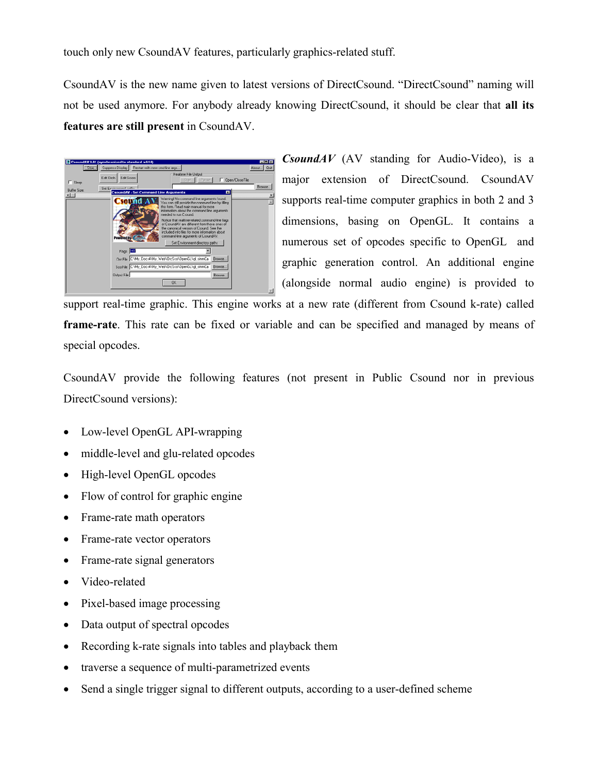touch only new CsoundAV features, particularly graphics-related stuff.

CsoundAV is the new name given to latest versions of DirectCsound. "DirectCsound" naming will not be used anymore. For anybody already knowing DirectCsound, it should be clear that **all its features are still present** in CsoundAV.



*CsoundAV* (AV standing for Audio-Video), is a major extension of DirectCsound. CsoundAV supports real-time computer graphics in both 2 and 3 dimensions, basing on OpenGL. It contains a numerous set of opcodes specific to OpenGL and graphic generation control. An additional engine (alongside normal audio engine) is provided to

support real-time graphic. This engine works at a new rate (different from Csound k-rate) called **frame-rate**. This rate can be fixed or variable and can be specified and managed by means of special opcodes.

CsoundAV provide the following features (not present in Public Csound nor in previous DirectCsound versions):

- Low-level OpenGL API-wrapping
- middle-level and glu-related opcodes
- High-level OpenGL opcodes
- Flow of control for graphic engine
- Frame-rate math operators
- Frame-rate vector operators
- Frame-rate signal generators
- Video-related
- Pixel-based image processing
- Data output of spectral opcodes
- Recording k-rate signals into tables and playback them
- traverse a sequence of multi-parametrized events
- Send a single trigger signal to different outputs, according to a user-defined scheme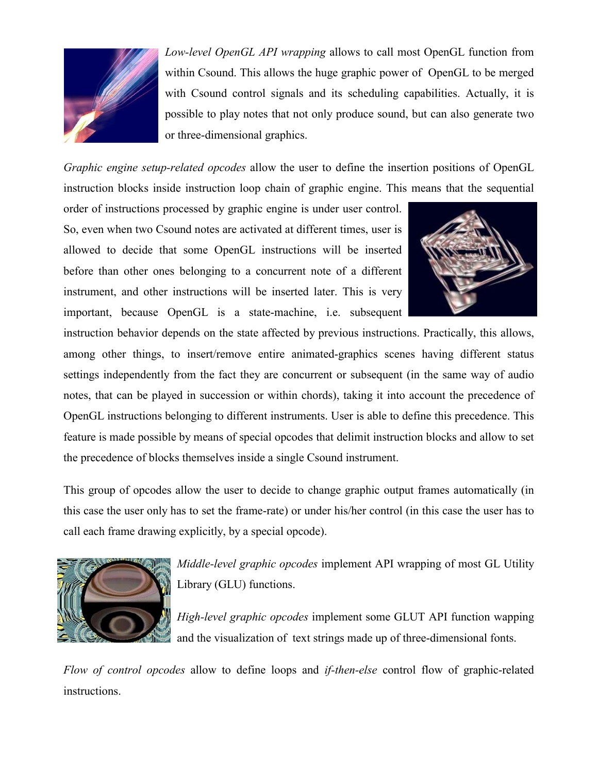

*Low-level OpenGL API wrapping* allows to call most OpenGL function from within Csound. This allows the huge graphic power of OpenGL to be merged with Csound control signals and its scheduling capabilities. Actually, it is possible to play notes that not only produce sound, but can also generate two or three-dimensional graphics.

*Graphic engine setup-related opcodes* allow the user to define the insertion positions of OpenGL instruction blocks inside instruction loop chain of graphic engine. This means that the sequential

order of instructions processed by graphic engine is under user control. So, even when two Csound notes are activated at different times, user is allowed to decide that some OpenGL instructions will be inserted before than other ones belonging to a concurrent note of a different instrument, and other instructions will be inserted later. This is very important, because OpenGL is a state-machine, i.e. subsequent



instruction behavior depends on the state affected by previous instructions. Practically, this allows, among other things, to insert/remove entire animated-graphics scenes having different status settings independently from the fact they are concurrent or subsequent (in the same way of audio notes, that can be played in succession or within chords), taking it into account the precedence of OpenGL instructions belonging to different instruments. User is able to define this precedence. This feature is made possible by means of special opcodes that delimit instruction blocks and allow to set the precedence of blocks themselves inside a single Csound instrument.

This group of opcodes allow the user to decide to change graphic output frames automatically (in this case the user only has to set the frame-rate) or under his/her control (in this case the user has to call each frame drawing explicitly, by a special opcode).



*Middle-level graphic opcodes* implement API wrapping of most GL Utility Library (GLU) functions.

*High-level graphic opcodes* implement some GLUT API function wapping and the visualization of text strings made up of three-dimensional fonts.

*Flow of control opcodes* allow to define loops and *if-then-else* control flow of graphic-related instructions.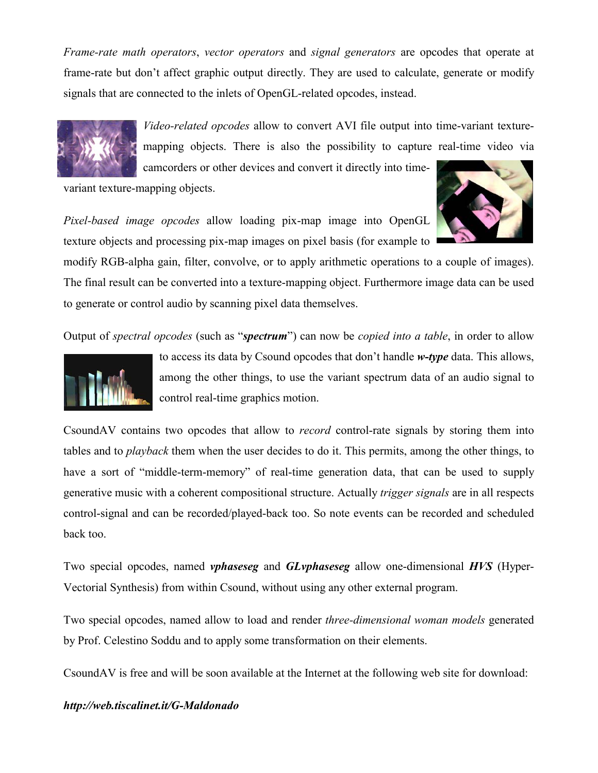*Frame-rate math operators*, *vector operators* and *signal generators* are opcodes that operate at frame-rate but don't affect graphic output directly. They are used to calculate, generate or modify signals that are connected to the inlets of OpenGL-related opcodes, instead.



*Video-related opcodes* allow to convert AVI file output into time-variant texturemapping objects. There is also the possibility to capture real-time video via

camcorders or other devices and convert it directly into time-

variant texture-mapping objects.

*Pixel-based image opcodes* allow loading pix-map image into OpenGL texture objects and processing pix-map images on pixel basis (for example to



modify RGB-alpha gain, filter, convolve, or to apply arithmetic operations to a couple of images). The final result can be converted into a texture-mapping object. Furthermore image data can be used to generate or control audio by scanning pixel data themselves.

Output of *spectral opcodes* (such as "*spectrum*") can now be *copied into a table*, in order to allow



to access its data by Csound opcodes that don't handle *w-type* data. This allows, among the other things, to use the variant spectrum data of an audio signal to control real-time graphics motion.

CsoundAV contains two opcodes that allow to *record* control-rate signals by storing them into tables and to *playback* them when the user decides to do it. This permits, among the other things, to have a sort of "middle-term-memory" of real-time generation data, that can be used to supply generative music with a coherent compositional structure. Actually *trigger signals* are in all respects control-signal and can be recorded/played-back too. So note events can be recorded and scheduled back too.

Two special opcodes, named *vphaseseg* and *GLvphaseseg* allow one-dimensional *HVS* (Hyper-Vectorial Synthesis) from within Csound, without using any other external program.

Two special opcodes, named allow to load and render *three-dimensional woman models* generated by Prof. Celestino Soddu and to apply some transformation on their elements.

CsoundAV is free and will be soon available at the Internet at the following web site for download:

#### *http://web.tiscalinet.it/G-Maldonado*